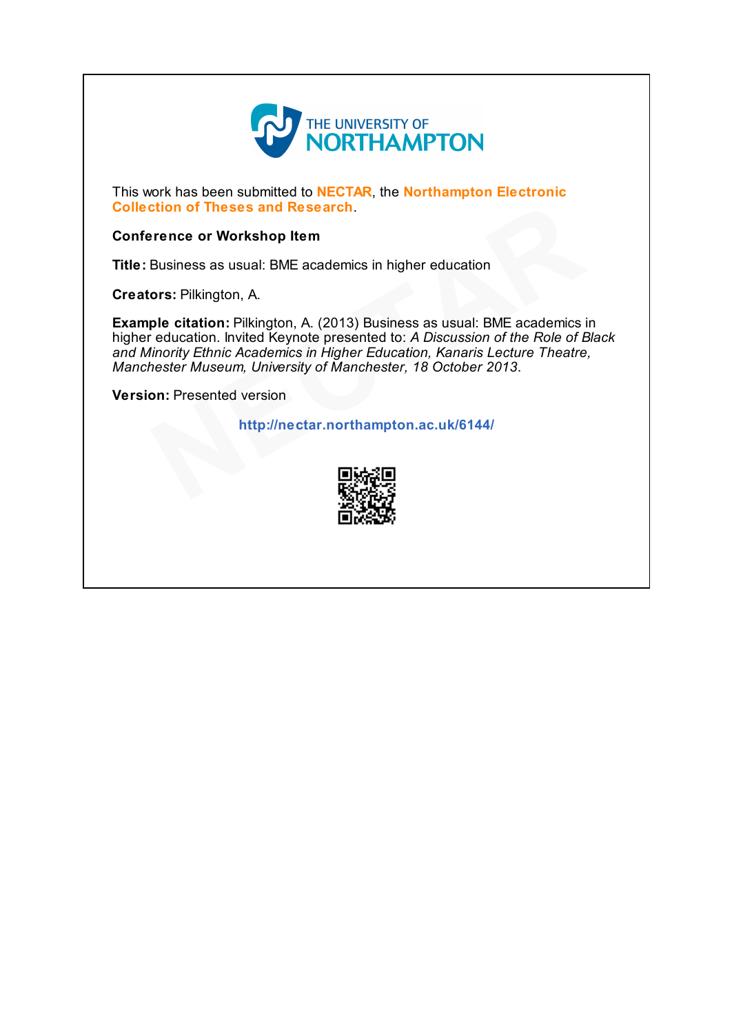

This work has been submitted to NECTAR, the Northampton Electronic Collection of Theses and Research.

#### Conference or Workshop Item

Title: Business as usual: BME academics in higher education

Creators: Pilkington, A.

Example citation: Pilkington, A. (2013) Business as usual: BME academics in higher education. Invited Keynote presented to: A Discussion of the Role of Black and Minority Ethnic Academics in Higher Education, Kanaris Lecture Theatre, Manchester Museum, University of Manchester, 18 October 2013. ction of Theses and Research.<br>
Frence or Workshop Item<br>
Business as usual: BME academics in higher education<br>
ors: Pilkington, A.<br>
ple citation: Pilkington, A. (2013) Business as usual: BME academics is<br>
ducation. Invited

Version: Presented version

http://nectar.northampton.ac.uk/6144/

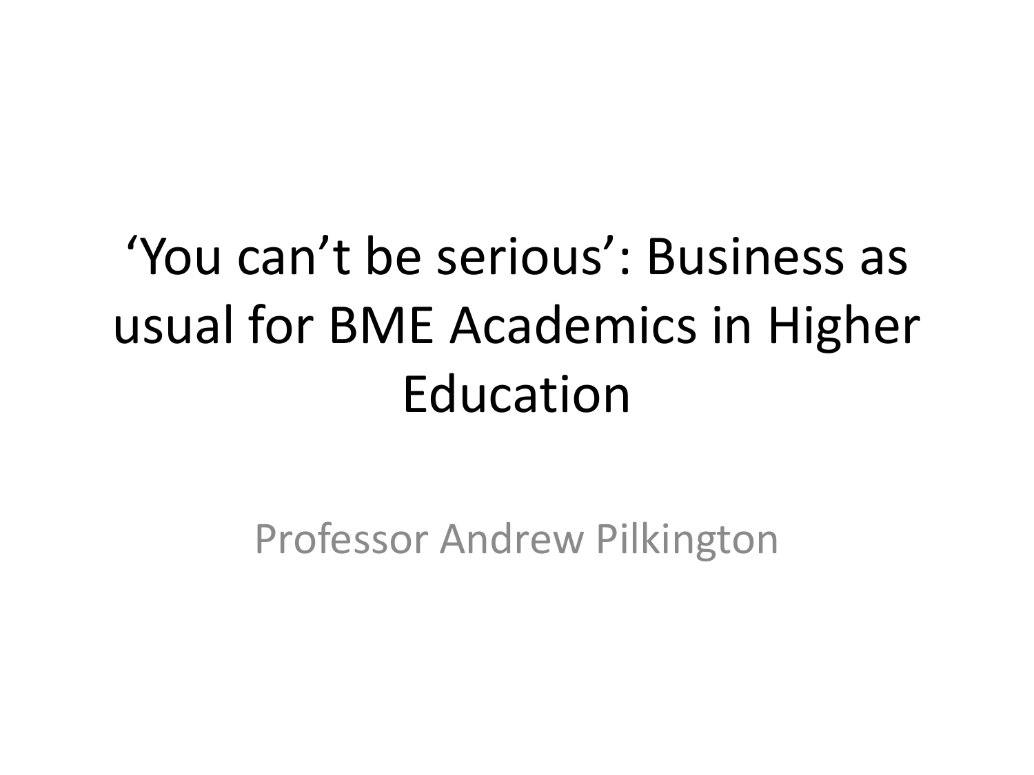#### 'You can't be serious': Business as usual for BME Academics in Higher Education

Professor Andrew Pilkington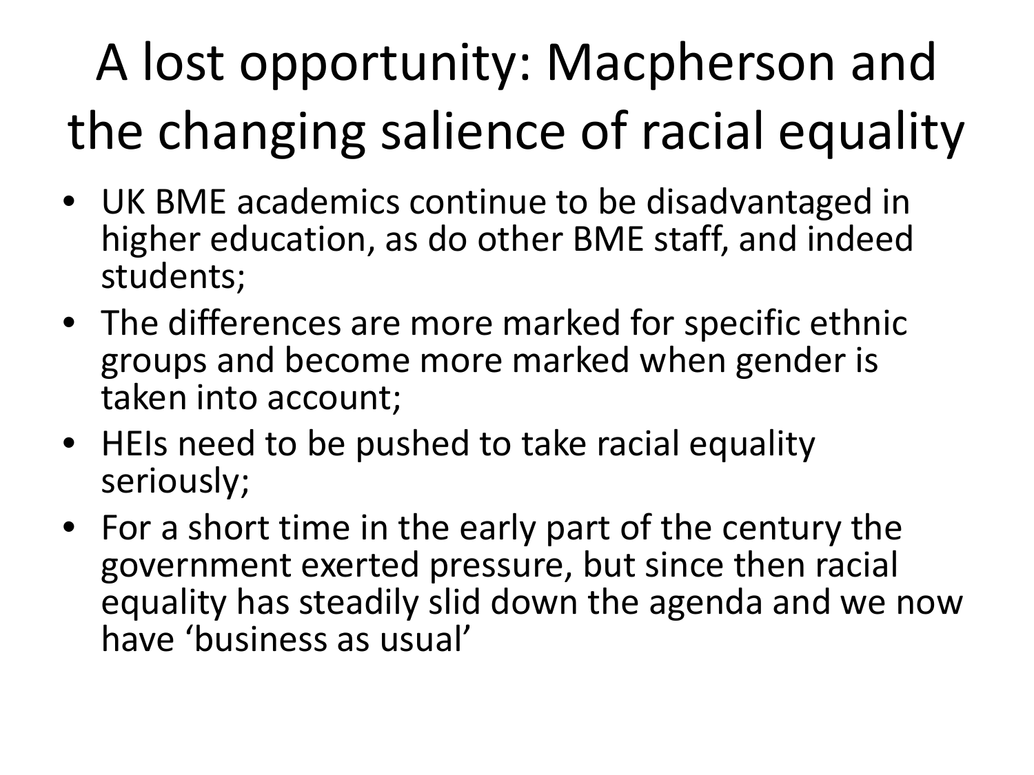# A lost opportunity: Macpherson and the changing salience of racial equality

- UK BME academics continue to be disadvantaged in higher education, as do other BME staff, and indeed students;
- The differences are more marked for specific ethnic groups and become more marked when gender is taken into account;
- HEIs need to be pushed to take racial equality seriously;
- For a short time in the early part of the century the government exerted pressure, but since then racial equality has steadily slid down the agenda and we now have 'business as usual'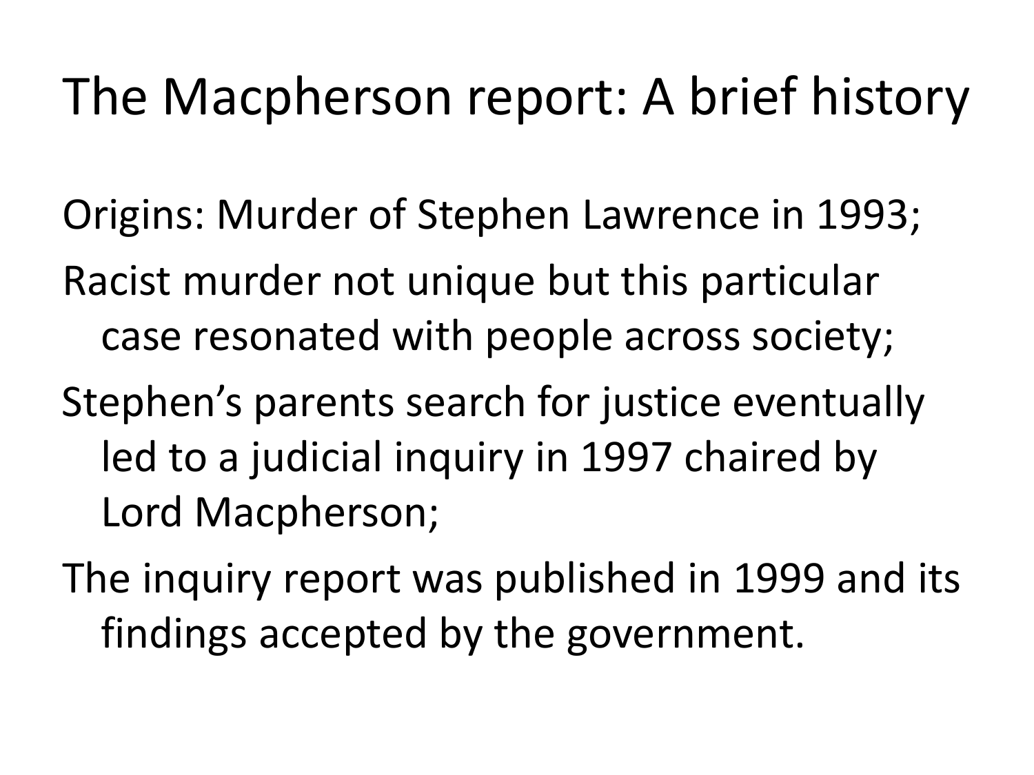#### The Macpherson report: A brief history

- Origins: Murder of Stephen Lawrence in 1993;
- Racist murder not unique but this particular case resonated with people across society;
- Stephen's parents search for justice eventually led to a judicial inquiry in 1997 chaired by Lord Macpherson;
- The inquiry report was published in 1999 and its findings accepted by the government.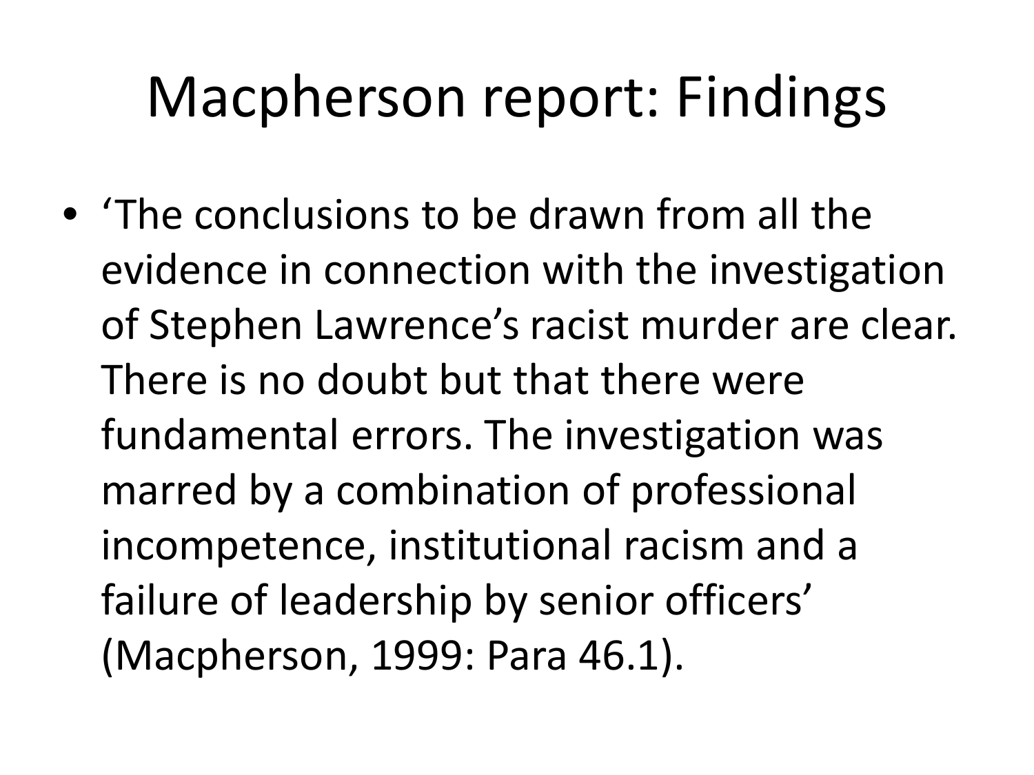### Macpherson report: Findings

• 'The conclusions to be drawn from all the evidence in connection with the investigation of Stephen Lawrence's racist murder are clear. There is no doubt but that there were fundamental errors. The investigation was marred by a combination of professional incompetence, institutional racism and a failure of leadership by senior officers' (Macpherson, 1999: Para 46.1).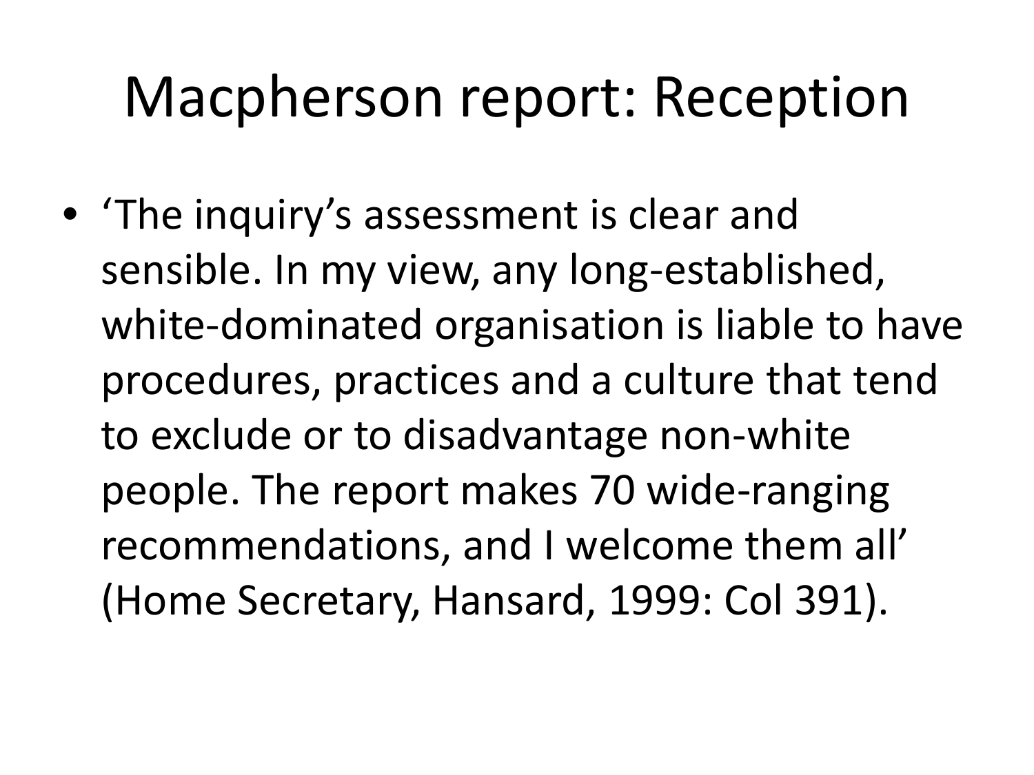#### Macpherson report: Reception

• 'The inquiry's assessment is clear and sensible. In my view, any long-established, white-dominated organisation is liable to have procedures, practices and a culture that tend to exclude or to disadvantage non-white people. The report makes 70 wide-ranging recommendations, and I welcome them all' (Home Secretary, Hansard, 1999: Col 391).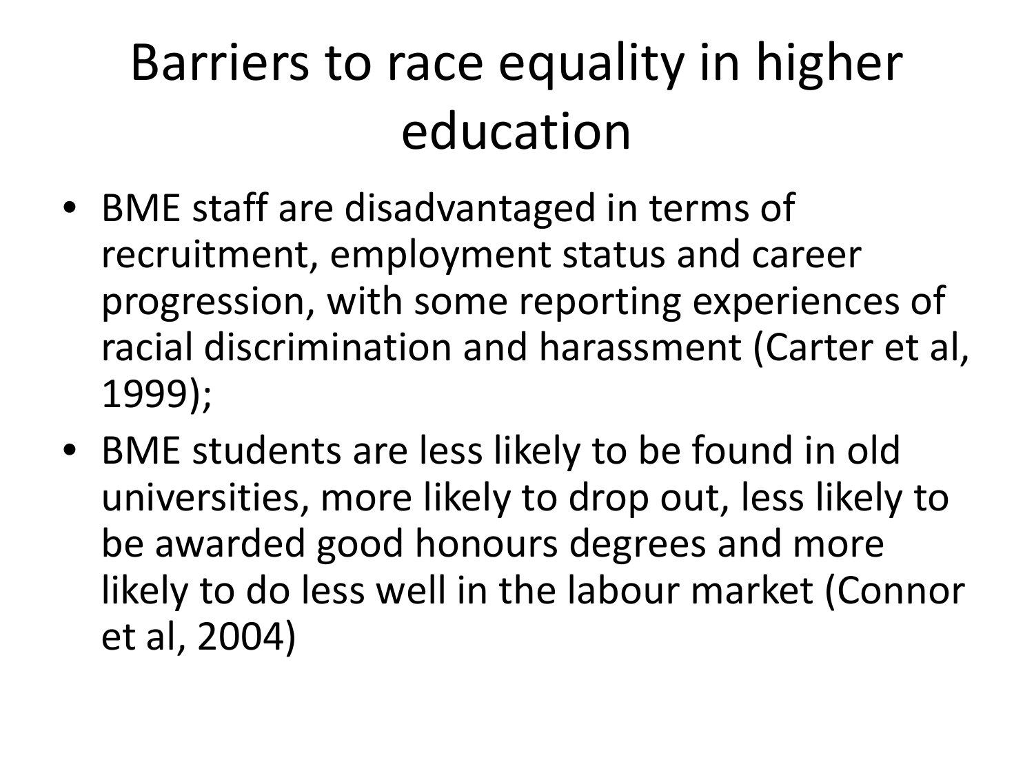#### Barriers to race equality in higher education

- BME staff are disadvantaged in terms of recruitment, employment status and career progression, with some reporting experiences of racial discrimination and harassment (Carter et al, 1999);
- BME students are less likely to be found in old universities, more likely to drop out, less likely to be awarded good honours degrees and more likely to do less well in the labour market (Connor et al, 2004)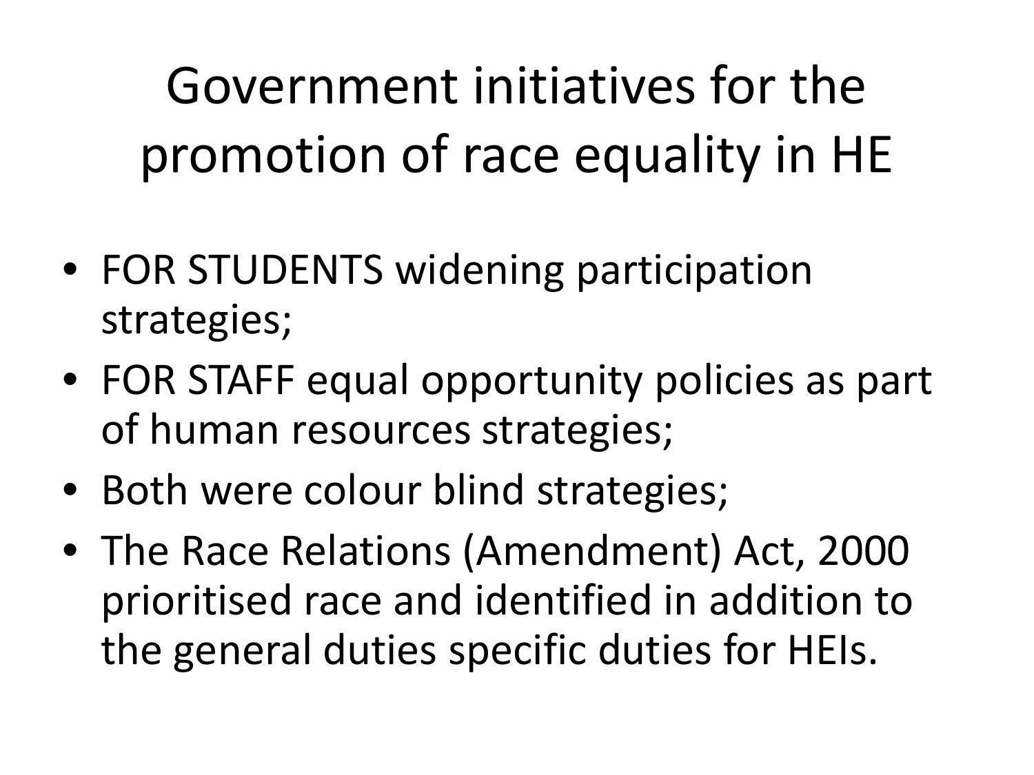Government initiatives for the promotion of race equality in HE

- FOR STUDENTS widening participation strategies;
- FOR STAFF equal opportunity policies as part of human resources strategies;
- Both were colour blind strategies;
- The Race Relations (Amendment) Act, 2000 prioritised race and identified in addition to the general duties specific duties for HEIs.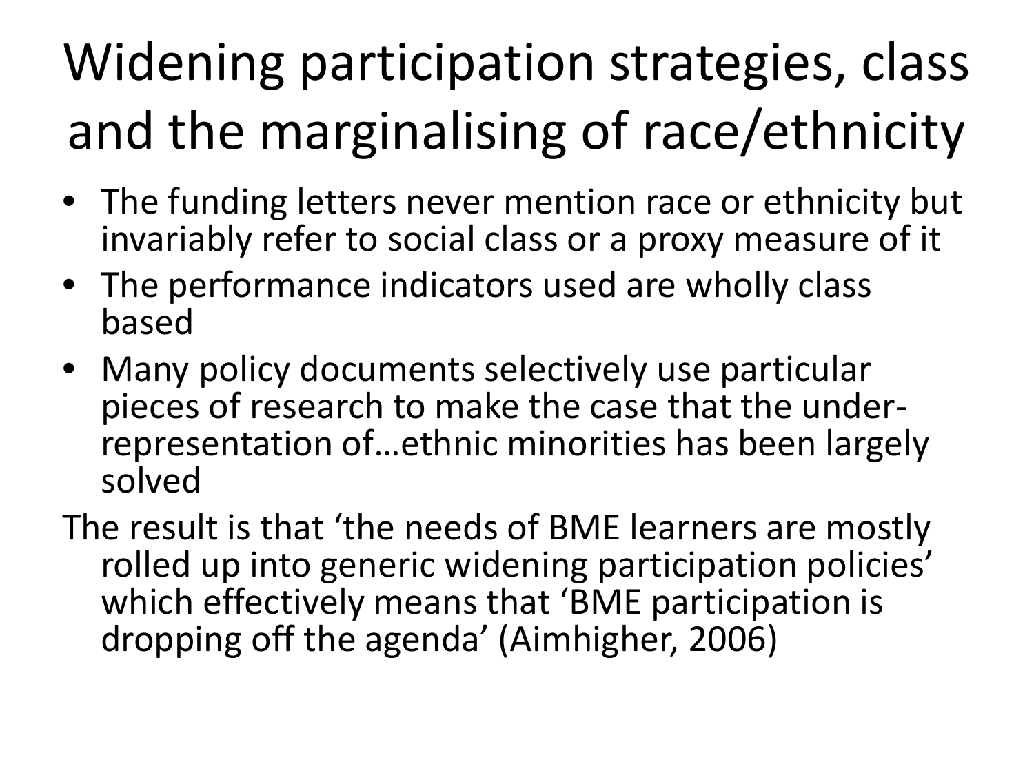## Widening participation strategies, class and the marginalising of race/ethnicity

- The funding letters never mention race or ethnicity but invariably refer to social class or a proxy measure of it
- The performance indicators used are wholly class based
- Many policy documents selectively use particular<br>- pieces of research to make the case that the underrepres entation of ... ethnic minorities has been largely solved

The result is that 'the needs of BME learners are mostly rolled up into generic widening participation policies' which effectively means that 'BME participation is dropping off the agenda' (Aimhigher, 2006)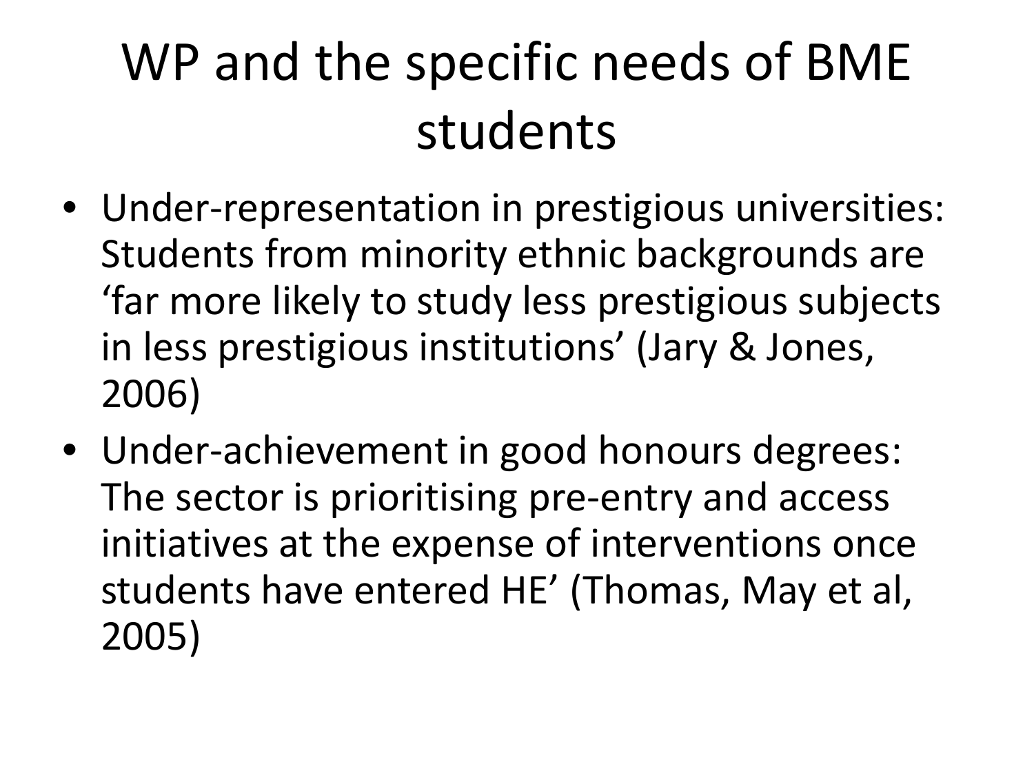#### WP and the specific needs of BME students

- Under-representation in prestigious universities: Students from minority ethnic backgrounds are 'far more likely to study less prestigious subjects in less prestigious institutions' (Jary & Jones, 2006)
- Under-achievement in good honours degrees: The sector is prioritising pre-entry and access initiatives at the expense of interventions once students have entered HE' (Thomas, May et al, 2005)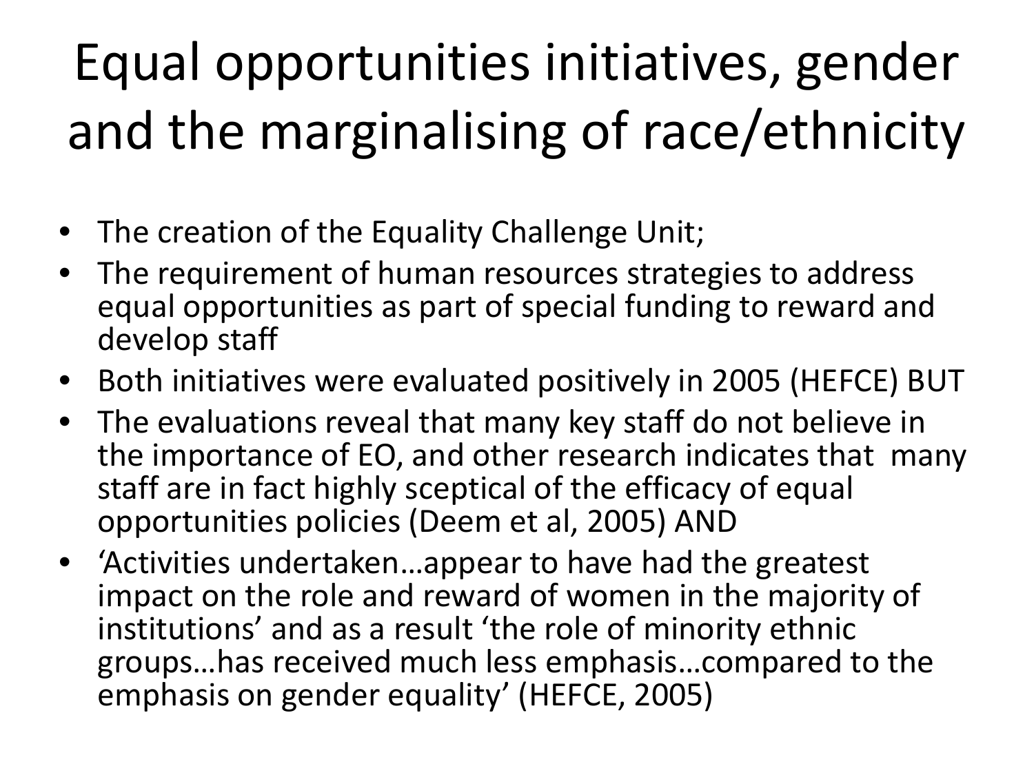## Equal opportunities initiatives, gender and the marginalising of race/ethnicity

- The creation of the Equality Challenge Unit;
- The requirement of human resources strategies to address equal opportunities as part of special funding to reward and develop staff
- Both initiatives were evaluated positively in 2005 (HEFCE) BUT
- The evaluations reveal that many key staff do not believe in the importance of EO, and other research indicates that many staff are in fact highly sceptical of the efficacy of equal opportunities policies (Deem et al, 2005) AND
- 'Activities undertaken…appear to have had the greatest impact on the role and reward of women in the majority of institutions' and as a result 'the role of minority ethnic groups…has received much less emphasis…compared to the emphasis on gender equality' (HEFCE, 2005)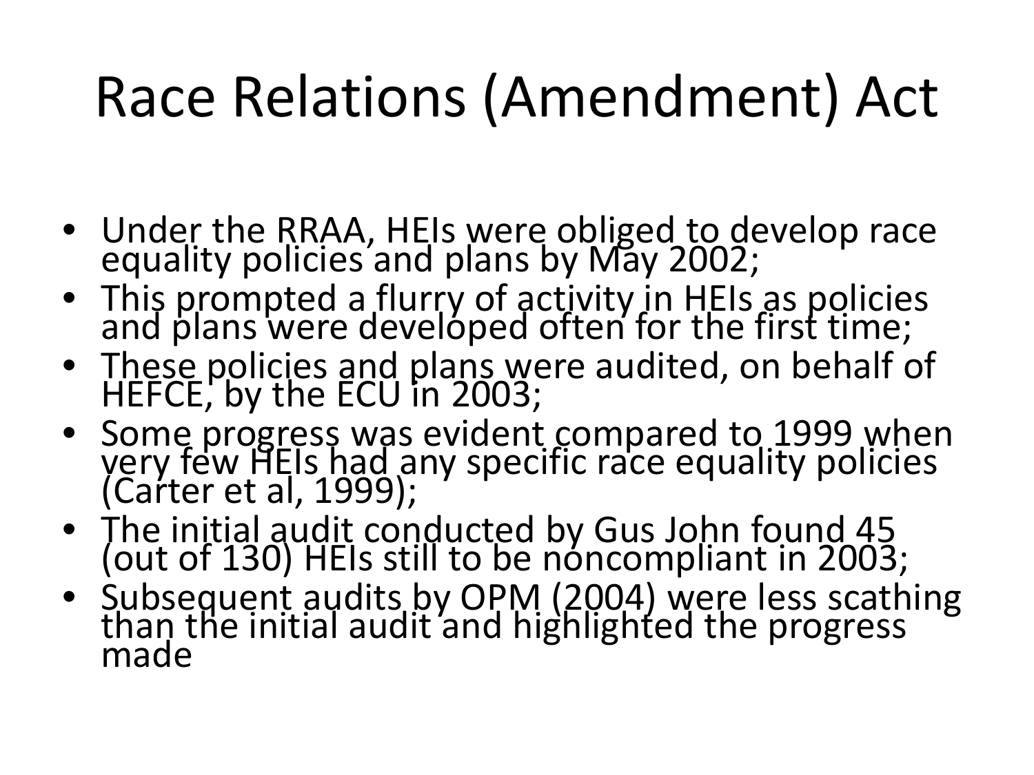# Race Relations (Amendment) Act

- Under the RRAA, HEIs were obliged to develop race equality policies and plans by May 2002;
- This prompted a flurry of activity in HEIs as policies and plans were developed often for the first time;
- These policies and plans were audited, on behalf of HEFCE, by the ECU in 2003;
- Some progress was evident compared to 1999 when very few HEIs had any specific race equality policies (Carter et al, 1999);
- The initial audit conducted by Gus John found 45 (out of 130) HEIs still to be noncompliant in 2003;
- Subsequent audits by OPM (2004) were less scathing than the initial audit and highlighted the progress made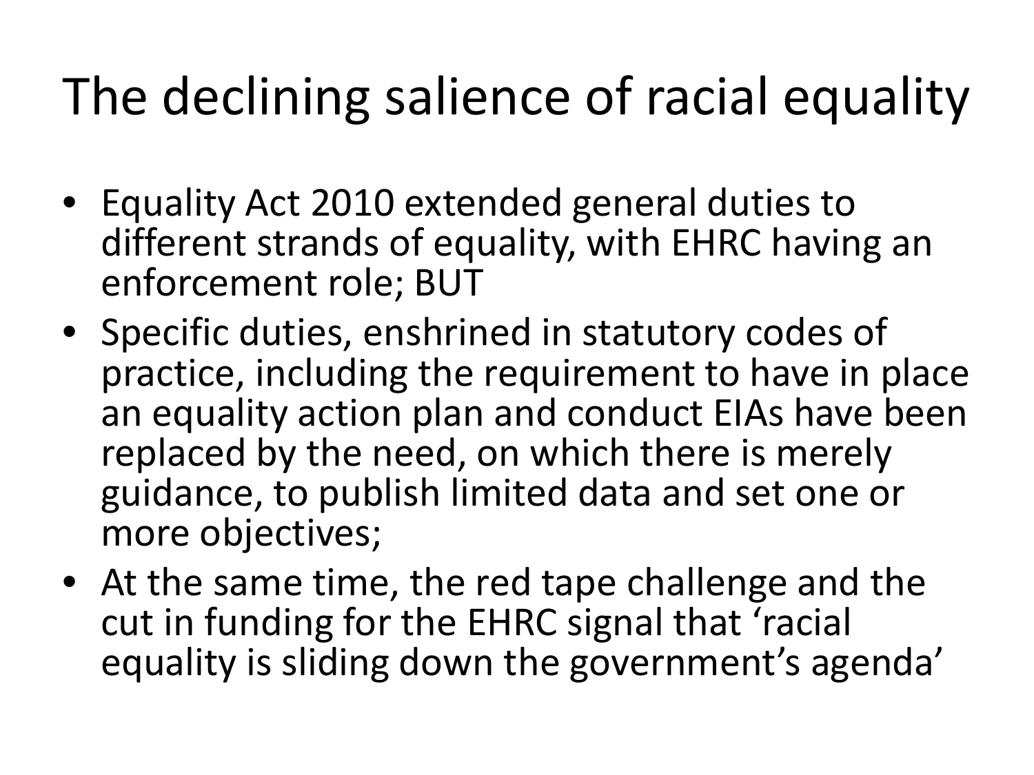#### The declining salience of racial equality

- Equality Act 2010 extended general duties to different strands of equality, with EHRC having an enforcement role; BUT
- Specific duties, enshrined in statutory codes of practice, including the requirement to have in place an equality action plan and conduct EIAs have been replaced by the need, on which there is merely guidance, to publish limited data and set one or more objectives;
- At the same time, the red tape challenge and the cut in funding for the EHRC signal that 'racial equality is sliding down the government's agenda'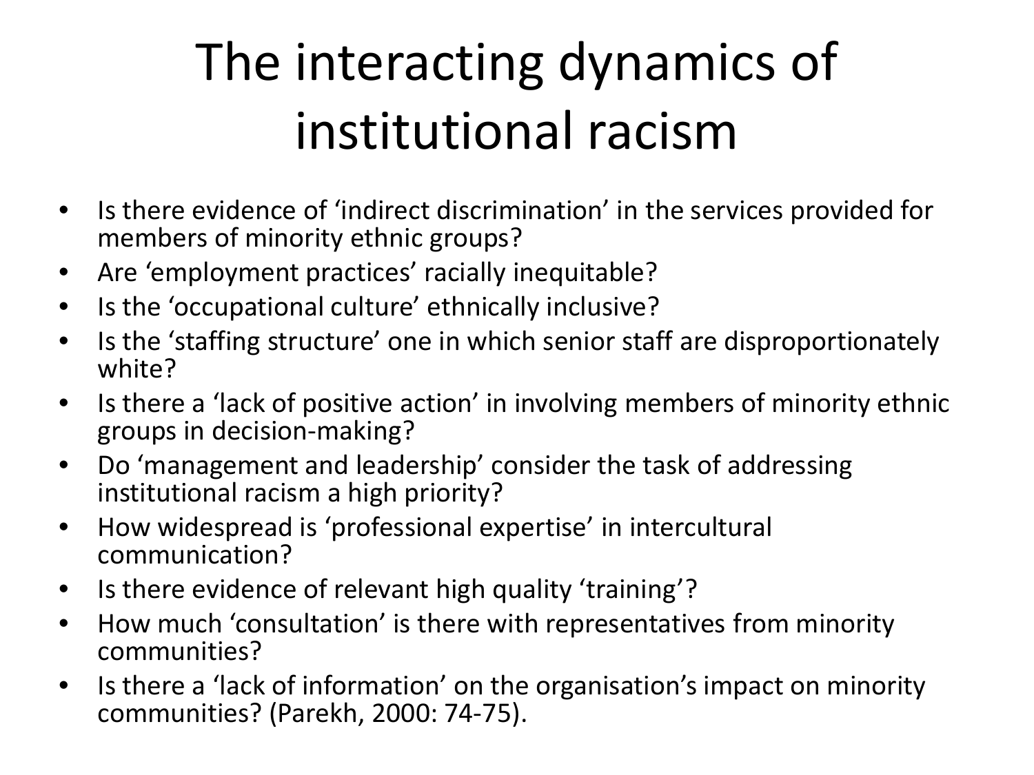### The interacting dynamics of institutional racism

- Is there evidence of 'indirect discrimination' in the services provided for members of minority ethnic groups?
- Are 'employment practices' racially inequitable?
- Is the 'occupational culture' ethnically inclusive?
- Is the 'staffing structure' one in which senior staff are disproportionately white?
- Is there a 'lack of positive action' in involving members of minority ethnic groups in decision-making?
- Do 'management and leadership' consider the task of addressing institutional racism a high priority?
- How widespread is 'professional expertise' in intercultural communication?
- Is there evidence of relevant high quality 'training'?
- How much 'consultation' is there with representatives from minority communities?
- Is there a 'lack of information' on the organisation's impact on minority communities? (Parekh, 2000: 74-75).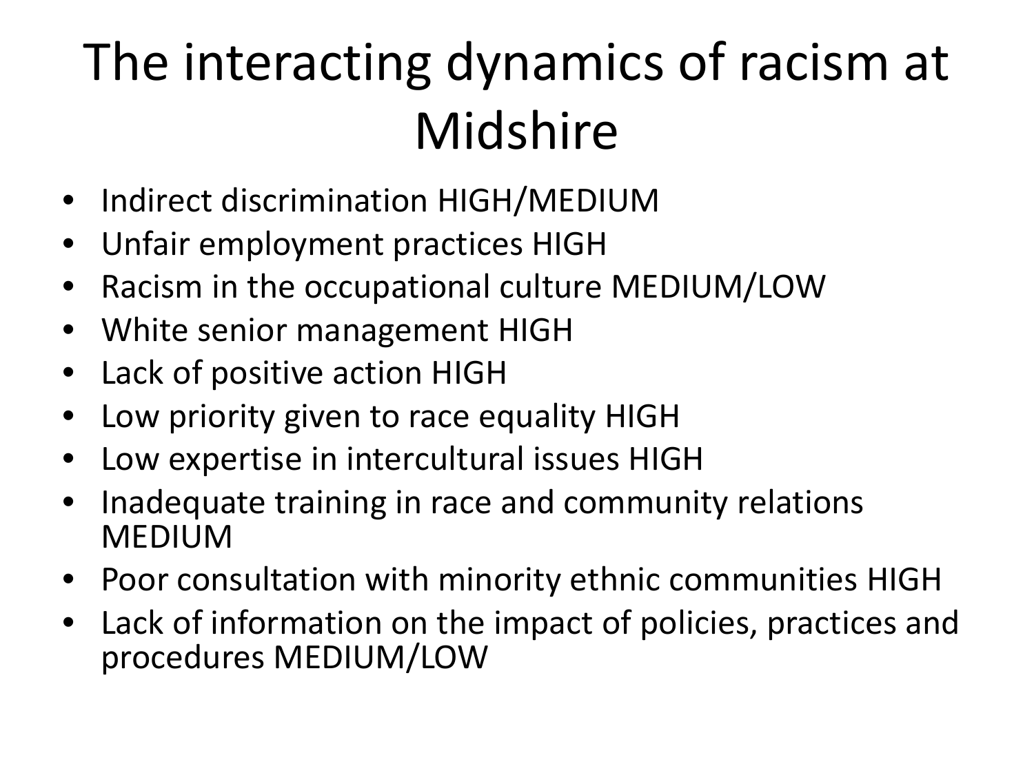#### The interacting dynamics of racism at Midshire

- Indirect discrimination HIGH/MEDIUM
- Unfair employment practices HIGH
- Racism in the occupational culture MEDIUM/LOW
- White senior management HIGH
- Lack of positive action HIGH
- Low priority given to race equality HIGH
- Low expertise in intercultural issues HIGH
- Inadequate training in race and community relations MEDIUM
- Poor consultation with minority ethnic communities HIGH
- Lack of information on the impact of policies, practices and procedures MEDIUM/LOW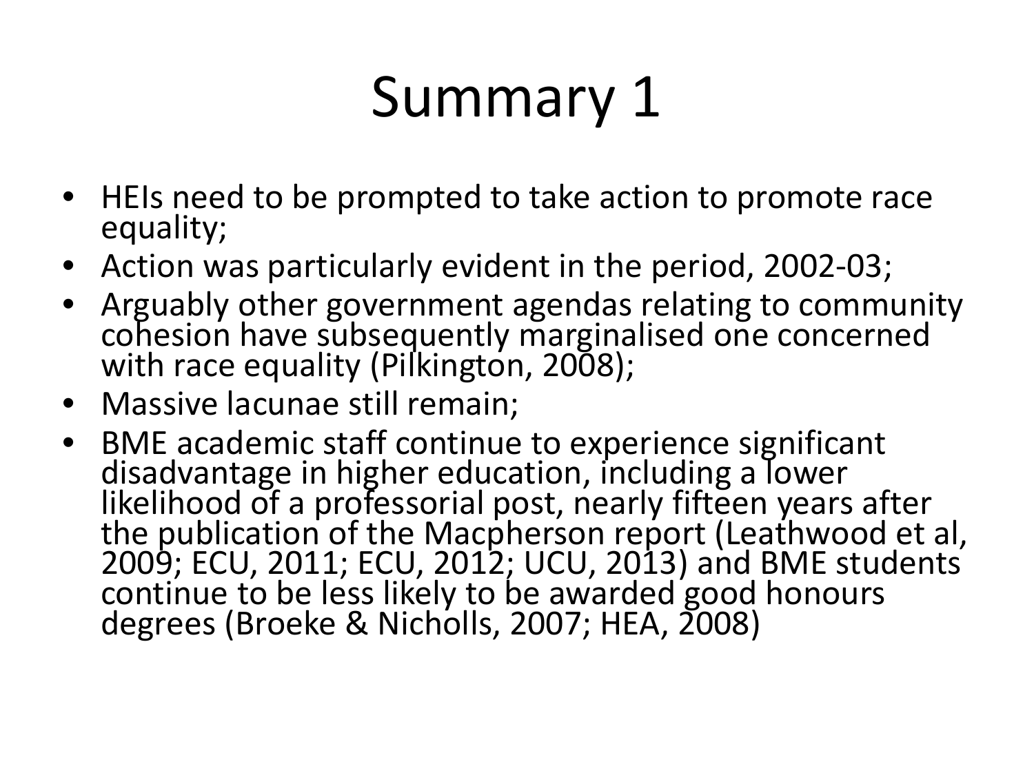# Summary 1

- HEIs need to be prompted to take action to promote race equality;
- Action was particularly evident in the period, 2002-03;
- Arguably other government agendas relating to community cohesion have subsequently marginalised one concerned with race equality (Pilkington, 2008);
- Massive lacunae still remain;
- BME academic staff continue to experience significant disadvantage in higher education, including a lower likelihood of a professorial post, nearly fifteen years after the publication of the Macpherson report (Leathwood et al, 2009; ECU, 2011; ECU, 2012; UCU, 2013) and BME students continue to be less likely to be awarded good honours degrees (Broeke & Nicholls, 2007; HEA, 2008)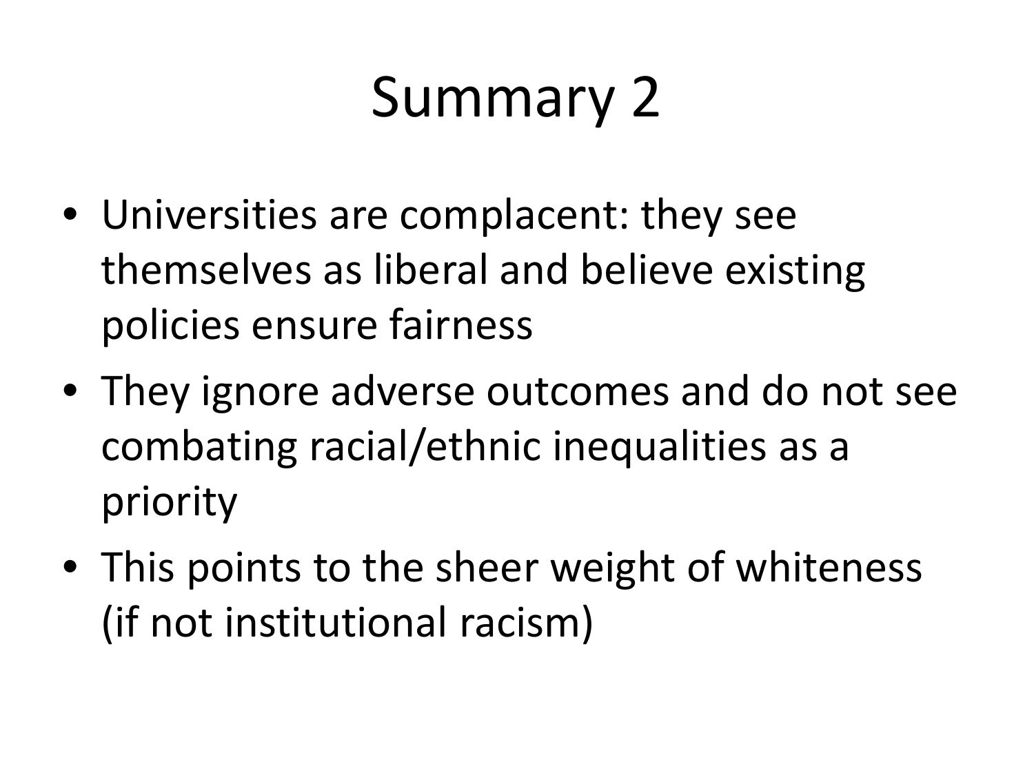## Summary 2

- Universities are complacent: they see themselves as liberal and believe existing policies ensure fairness
- They ignore adverse outcomes and do not see combating racial/ethnic inequalities as a priority
- This points to the sheer weight of whiteness (if not institutional racism)